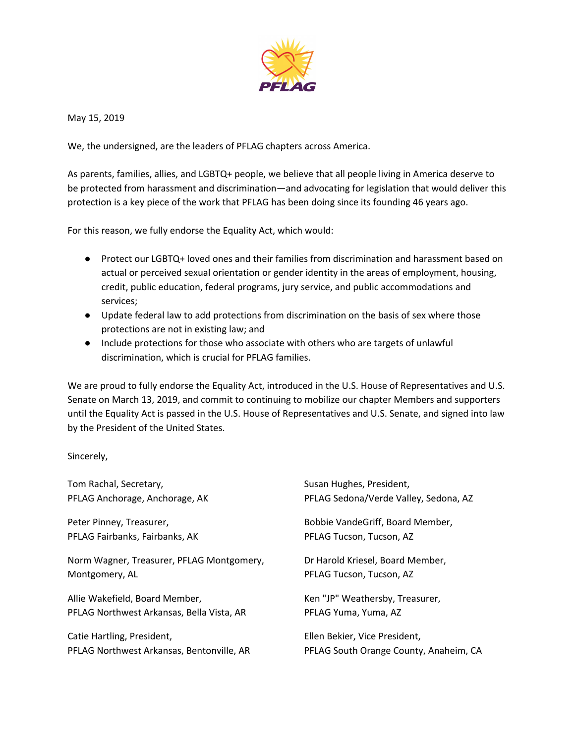

May 15, 2019

We, the undersigned, are the leaders of PFLAG chapters across America.

As parents, families, allies, and LGBTQ+ people, we believe that all people living in America deserve to be protected from harassment and discrimination—and advocating for legislation that would deliver this protection is a key piece of the work that PFLAG has been doing since its founding 46 years ago.

For this reason, we fully endorse the Equality Act, which would:

- Protect our LGBTQ+ loved ones and their families from discrimination and harassment based on actual or perceived sexual orientation or gender identity in the areas of employment, housing, credit, public education, federal programs, jury service, and public accommodations and services;
- Update federal law to add protections from discrimination on the basis of sex where those protections are not in existing law; and
- Include protections for those who associate with others who are targets of unlawful discrimination, which is crucial for PFLAG families.

We are proud to fully endorse the Equality Act, introduced in the U.S. House of Representatives and U.S. Senate on March 13, 2019, and commit to continuing to mobilize our chapter Members and supporters until the Equality Act is passed in the U.S. House of Representatives and U.S. Senate, and signed into law by the President of the United States.

Sincerely,

| Tom Rachal, Secretary,                    | Susan Hughes, President,               |
|-------------------------------------------|----------------------------------------|
| PFLAG Anchorage, Anchorage, AK            | PFLAG Sedona/Verde Valley, Sedona, AZ  |
| Peter Pinney, Treasurer,                  | Bobbie VandeGriff, Board Member,       |
| PFLAG Fairbanks, Fairbanks, AK            | PFLAG Tucson, Tucson, AZ               |
| Norm Wagner, Treasurer, PFLAG Montgomery, | Dr Harold Kriesel, Board Member,       |
| Montgomery, AL                            | PFLAG Tucson, Tucson, AZ               |
| Allie Wakefield, Board Member,            | Ken "JP" Weathersby, Treasurer,        |
| PFLAG Northwest Arkansas, Bella Vista, AR | PFLAG Yuma, Yuma, AZ                   |
| Catie Hartling, President,                | Ellen Bekier, Vice President,          |
| PFLAG Northwest Arkansas, Bentonville, AR | PFLAG South Orange County, Anaheim, CA |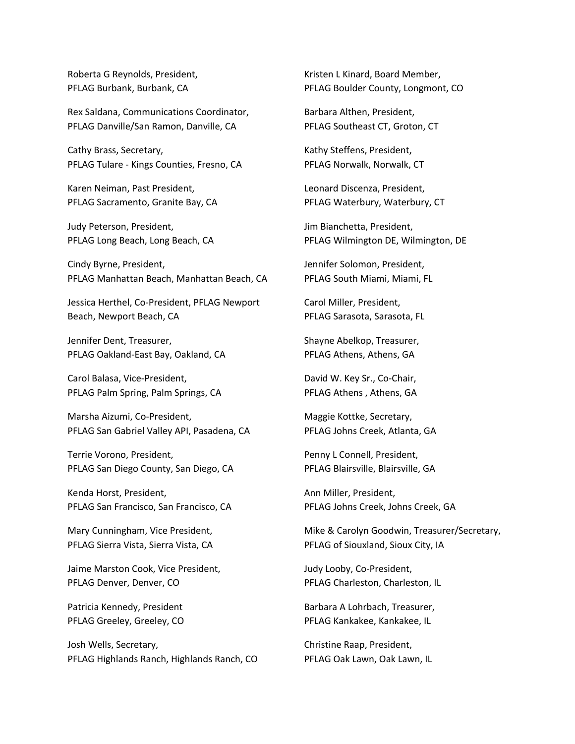Roberta G Reynolds, President, PFLAG Burbank, Burbank, CA

Rex Saldana, Communications Coordinator, PFLAG Danville/San Ramon, Danville, CA

Cathy Brass, Secretary, PFLAG Tulare - Kings Counties, Fresno, CA

Karen Neiman, Past President, PFLAG Sacramento, Granite Bay, CA

Judy Peterson, President, PFLAG Long Beach, Long Beach, CA

Cindy Byrne, President, PFLAG Manhattan Beach, Manhattan Beach, CA

Jessica Herthel, Co-President, PFLAG Newport Beach, Newport Beach, CA

Jennifer Dent, Treasurer, PFLAG Oakland-East Bay, Oakland, CA

Carol Balasa, Vice-President, PFLAG Palm Spring, Palm Springs, CA

Marsha Aizumi, Co-President, PFLAG San Gabriel Valley API, Pasadena, CA

Terrie Vorono, President, PFLAG San Diego County, San Diego, CA

Kenda Horst, President, PFLAG San Francisco, San Francisco, CA

Mary Cunningham, Vice President, PFLAG Sierra Vista, Sierra Vista, CA

Jaime Marston Cook, Vice President, PFLAG Denver, Denver, CO

Patricia Kennedy, President PFLAG Greeley, Greeley, CO

Josh Wells, Secretary, PFLAG Highlands Ranch, Highlands Ranch, CO Kristen L Kinard, Board Member, PFLAG Boulder County, Longmont, CO

Barbara Althen, President, PFLAG Southeast CT, Groton, CT

Kathy Steffens, President, PFLAG Norwalk, Norwalk, CT

Leonard Discenza, President, PFLAG Waterbury, Waterbury, CT

Jim Bianchetta, President, PFLAG Wilmington DE, Wilmington, DE

Jennifer Solomon, President, PFLAG South Miami, Miami, FL

Carol Miller, President, PFLAG Sarasota, Sarasota, FL

Shayne Abelkop, Treasurer, PFLAG Athens, Athens, GA

David W. Key Sr., Co-Chair, PFLAG Athens, Athens, GA

Maggie Kottke, Secretary, PFLAG Johns Creek, Atlanta, GA

Penny L Connell, President, PFLAG Blairsville, Blairsville, GA

Ann Miller, President, PFLAG Johns Creek, Johns Creek, GA

Mike & Carolyn Goodwin, Treasurer/Secretary, PFLAG of Siouxland, Sioux City, IA

Judy Looby, Co-President, PFLAG Charleston, Charleston, IL

Barbara A Lohrbach, Treasurer, PFLAG Kankakee, Kankakee, IL

Christine Raap, President, PFLAG Oak Lawn, Oak Lawn, IL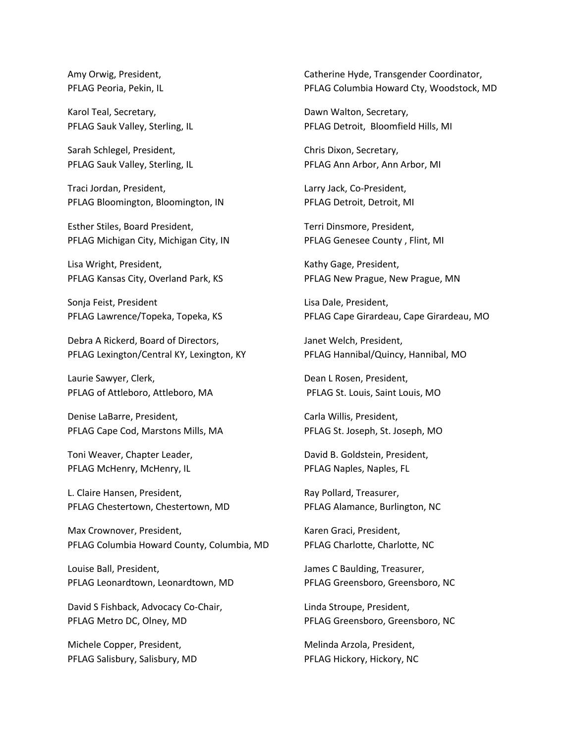Amy Orwig, President, PFLAG Peoria, Pekin, IL

Karol Teal, Secretary, PFLAG Sauk Valley, Sterling, IL

Sarah Schlegel, President, PFLAG Sauk Valley, Sterling, IL

Traci Jordan, President, PFLAG Bloomington, Bloomington, IN

Esther Stiles, Board President, PFLAG Michigan City, Michigan City, IN

Lisa Wright, President, PFLAG Kansas City, Overland Park, KS

Sonja Feist, President PFLAG Lawrence/Topeka, Topeka, KS

Debra A Rickerd, Board of Directors, PFLAG Lexington/Central KY, Lexington, KY

Laurie Sawyer, Clerk, PFLAG of Attleboro, Attleboro, MA

Denise LaBarre, President, PFLAG Cape Cod, Marstons Mills, MA

Toni Weaver, Chapter Leader, PFLAG McHenry, McHenry, IL

L. Claire Hansen, President, PFLAG Chestertown, Chestertown, MD

Max Crownover, President, PFLAG Columbia Howard County, Columbia, MD

Louise Ball, President, PFLAG Leonardtown, Leonardtown, MD

David S Fishback, Advocacy Co-Chair, PFLAG Metro DC, Olney, MD

Michele Copper, President, PFLAG Salisbury, Salisbury, MD Catherine Hyde, Transgender Coordinator, PFLAG Columbia Howard Cty, Woodstock, MD

Dawn Walton, Secretary, PFLAG Detroit, Bloomfield Hills, MI

Chris Dixon, Secretary, PFLAG Ann Arbor, Ann Arbor, MI

Larry Jack, Co-President, PFLAG Detroit, Detroit, MI

Terri Dinsmore, President, PFLAG Genesee County , Flint, MI

Kathy Gage, President, PFLAG New Prague, New Prague, MN

Lisa Dale, President, PFLAG Cape Girardeau, Cape Girardeau, MO

Janet Welch, President, PFLAG Hannibal/Quincy, Hannibal, MO

Dean L Rosen, President, PFLAG St. Louis, Saint Louis, MO

Carla Willis, President, PFLAG St. Joseph, St. Joseph, MO

David B. Goldstein, President, PFLAG Naples, Naples, FL

Ray Pollard, Treasurer, PFLAG Alamance, Burlington, NC

Karen Graci, President, PFLAG Charlotte, Charlotte, NC

James C Baulding, Treasurer, PFLAG Greensboro, Greensboro, NC

Linda Stroupe, President, PFLAG Greensboro, Greensboro, NC

Melinda Arzola, President, PFLAG Hickory, Hickory, NC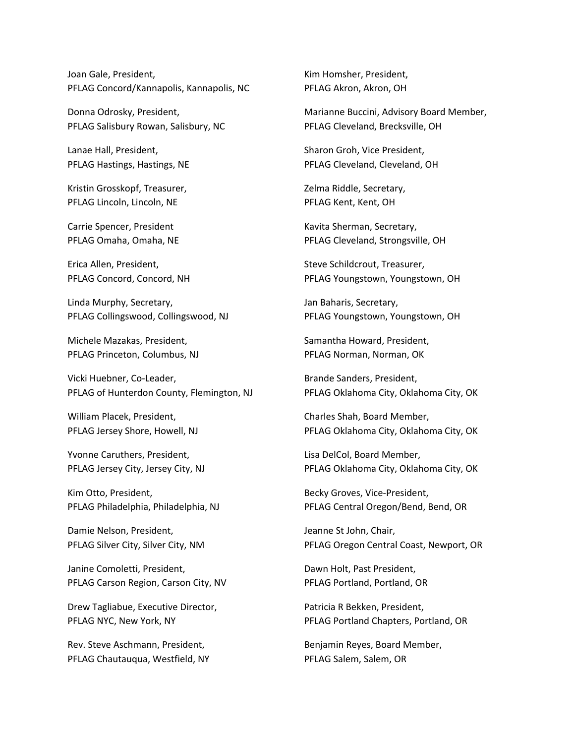Joan Gale, President, PFLAG Concord/Kannapolis, Kannapolis, NC

Donna Odrosky, President, PFLAG Salisbury Rowan, Salisbury, NC

Lanae Hall, President, PFLAG Hastings, Hastings, NE

Kristin Grosskopf, Treasurer, PFLAG Lincoln, Lincoln, NE

Carrie Spencer, President PFLAG Omaha, Omaha, NE

Erica Allen, President, PFLAG Concord, Concord, NH

Linda Murphy, Secretary, PFLAG Collingswood, Collingswood, NJ

Michele Mazakas, President, PFLAG Princeton, Columbus, NJ

Vicki Huebner, Co-Leader, PFLAG of Hunterdon County, Flemington, NJ

William Placek, President, PFLAG Jersey Shore, Howell, NJ

Yvonne Caruthers, President, PFLAG Jersey City, Jersey City, NJ

Kim Otto, President, PFLAG Philadelphia, Philadelphia, NJ

Damie Nelson, President, PFLAG Silver City, Silver City, NM

Janine Comoletti, President, PFLAG Carson Region, Carson City, NV

Drew Tagliabue, Executive Director, PFLAG NYC, New York, NY

Rev. Steve Aschmann, President, PFLAG Chautauqua, Westfield, NY Kim Homsher, President, PFLAG Akron, Akron, OH

Marianne Buccini, Advisory Board Member, PFLAG Cleveland, Brecksville, OH

Sharon Groh, Vice President, PFLAG Cleveland, Cleveland, OH

Zelma Riddle, Secretary, PFLAG Kent, Kent, OH

Kavita Sherman, Secretary, PFLAG Cleveland, Strongsville, OH

Steve Schildcrout, Treasurer, PFLAG Youngstown, Youngstown, OH

Jan Baharis, Secretary, PFLAG Youngstown, Youngstown, OH

Samantha Howard, President, PFLAG Norman, Norman, OK

Brande Sanders, President, PFLAG Oklahoma City, Oklahoma City, OK

Charles Shah, Board Member, PFLAG Oklahoma City, Oklahoma City, OK

Lisa DelCol, Board Member, PFLAG Oklahoma City, Oklahoma City, OK

Becky Groves, Vice-President, PFLAG Central Oregon/Bend, Bend, OR

Jeanne St John, Chair, PFLAG Oregon Central Coast, Newport, OR

Dawn Holt, Past President, PFLAG Portland, Portland, OR

Patricia R Bekken, President, PFLAG Portland Chapters, Portland, OR

Benjamin Reyes, Board Member, PFLAG Salem, Salem, OR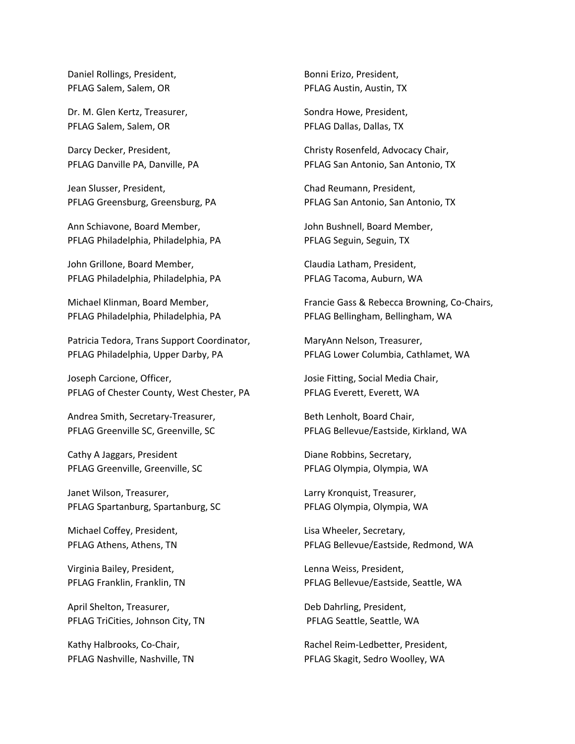Daniel Rollings, President, PFLAG Salem, Salem, OR

Dr. M. Glen Kertz, Treasurer, PFLAG Salem, Salem, OR

Darcy Decker, President, PFLAG Danville PA, Danville, PA

Jean Slusser, President, PFLAG Greensburg, Greensburg, PA

Ann Schiavone, Board Member, PFLAG Philadelphia, Philadelphia, PA

John Grillone, Board Member, PFLAG Philadelphia, Philadelphia, PA

Michael Klinman, Board Member, PFLAG Philadelphia, Philadelphia, PA

Patricia Tedora, Trans Support Coordinator, PFLAG Philadelphia, Upper Darby, PA

Joseph Carcione, Officer, PFLAG of Chester County, West Chester, PA

Andrea Smith, Secretary-Treasurer, PFLAG Greenville SC, Greenville, SC

Cathy A Jaggars, President PFLAG Greenville, Greenville, SC

Janet Wilson, Treasurer, PFLAG Spartanburg, Spartanburg, SC

Michael Coffey, President, PFLAG Athens, Athens, TN

Virginia Bailey, President, PFLAG Franklin, Franklin, TN

April Shelton, Treasurer, PFLAG TriCities, Johnson City, TN

Kathy Halbrooks, Co-Chair, PFLAG Nashville, Nashville, TN Bonni Erizo, President, PFLAG Austin, Austin, TX

Sondra Howe, President, PFLAG Dallas, Dallas, TX

Christy Rosenfeld, Advocacy Chair, PFLAG San Antonio, San Antonio, TX

Chad Reumann, President, PFLAG San Antonio, San Antonio, TX

John Bushnell, Board Member, PFLAG Seguin, Seguin, TX

Claudia Latham, President, PFLAG Tacoma, Auburn, WA

Francie Gass & Rebecca Browning, Co-Chairs, PFLAG Bellingham, Bellingham, WA

MaryAnn Nelson, Treasurer, PFLAG Lower Columbia, Cathlamet, WA

Josie Fitting, Social Media Chair, PFLAG Everett, Everett, WA

Beth Lenholt, Board Chair, PFLAG Bellevue/Eastside, Kirkland, WA

Diane Robbins, Secretary, PFLAG Olympia, Olympia, WA

Larry Kronquist, Treasurer, PFLAG Olympia, Olympia, WA

Lisa Wheeler, Secretary, PFLAG Bellevue/Eastside, Redmond, WA

Lenna Weiss, President, PFLAG Bellevue/Eastside, Seattle, WA

Deb Dahrling, President, PFLAG Seattle, Seattle, WA

Rachel Reim-Ledbetter, President, PFLAG Skagit, Sedro Woolley, WA